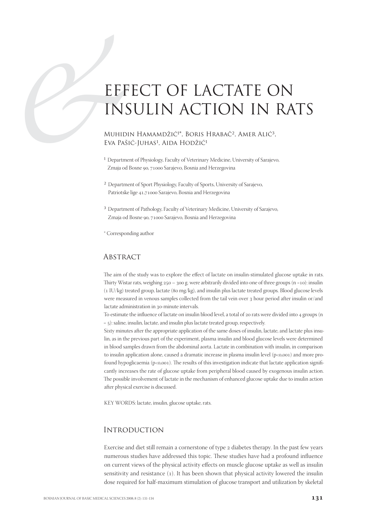# EFF<br>
INS<br>
MUHIDI<br>
EVA PAŠI<br>
<sup>1</sup> Departme<br>
<sup>2</sup> MuHIDI<br>
<sup>2</sup> MuHIDI EFFECT OF LACTATE ON INSULIN ACTION IN RATS

MUHIDIN HAMAMDŽIĆ<sup>1\*</sup>, BORIS HRABAČ<sup>2</sup>, AMER ALIĆ<sup>3</sup>, Eva Pašić-Juhas<sup>1</sup>, Aida Hodžić<sup>1</sup>

- <sup>1</sup> Department of Physiology, Faculty of Veterinary Medicine, University of Sarajevo, Zmaja od Bosne 90, 71000 Sarajevo, Bosnia and Herzegovina
- ² Department of Sport Physiology, Faculty of Sports, University of Sarajevo, Patriotske lige 41,71000 Sarajevo, Bosnia and Herzegovina
- <sup>3</sup> Department of Pathology, Faculty of Veterinary Medicine, University of Sarajevo, Zmaja od Bosne 90, 71000 Sarajevo, Bosnia and Herzegovina

\* Corresponding author

#### **ABSTRACT**

The aim of the study was to explore the effect of lactate on insulin-stimulated glucose uptake in rats. Thirty Wistar rats, weighing  $250 - 300$  g. were arbitrarily divided into one of three groups  $(n = 10)$ : insulin  $(1$  IU/kg) treated group, lactate (80 mg/kg), and insulin plus lactate treated groups. Blood glucose levels were measured in venous samples collected from the tail vein over 3 hour period after insulin or/and lactate administration in 30-minute intervals.

To estimate the influence of lactate on insulin blood level, a total of 20 rats were divided into 4 groups (n  $=$   $\varsigma$ ): saline, insulin, lactate, and insulin plus lactate treated group, respectively.

Sixty minutes after the appropriate application of the same doses of insulin, lactate, and lactate plus insulin, as in the previous part of the experiment, plasma insulin and blood glucose levels were determined in blood samples drawn from the abdominal aorta. Lactate in combination with insulin, in comparison to insulin application alone, caused a dramatic increase in plasma insulin level  $(p<0, 001)$  and more profound hypoglicaemia ( $p<0.001$ ). The results of this investigation indicate that lactate application significantly increases the rate of glucose uptake from peripheral blood caused by exogenous insulin action. The possible involvement of lactate in the mechanism of enhanced glucose uptake due to insulin action after physical exercise is discussed.

KEY WORDS: lactate, insulin, glucose uptake, rats.

## **INTRODUCTION**

Exercise and diet still remain a cornerstone of type 2 diabetes therapy. In the past few years numerous studies have addressed this topic. These studies have had a profound influence on current views of the physical activity effects on muscle glucose uptake as well as insulin sensitivity and resistance (1). It has been shown that physical activity lowered the insulin dose required for half-maximum stimulation of glucose transport and utilization by skeletal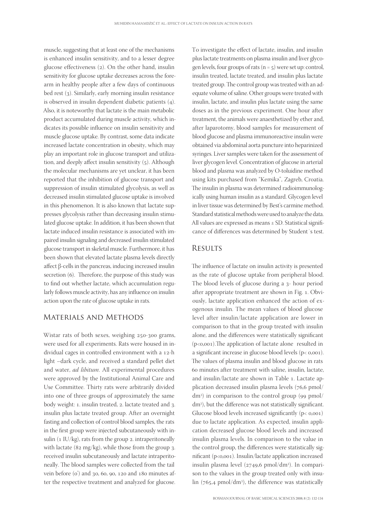muscle, suggesting that at least one of the mechanisms is enhanced insulin sensitivity, and to a lesser degree glucose effectiveness  $(2)$ . On the other hand, insulin sensitivity for glucose uptake decreases across the forearm in healthy people after a few days of continuous bed rest  $(3)$ . Similarly, early morning insulin resistance is observed in insulin dependent diabetic patients  $(4)$ . Also, it is noteworthy that lactate is the main metabolic product accumulated during muscle activity, which indicates its possible influence on insulin sensitivity and muscle glucose uptake. By contrast, some data indicate increased lactate concentration in obesity, which may play an important role in glucose transport and utilization, and deeply affect insulin sensitivity  $(5)$ . Although the molecular mechanisms are yet unclear, it has been reported that the inhibition of glucose transport and suppression of insulin stimulated glycolysis, as well as decreased insulin stimulated glucose uptake is involved in this phenomenon. It is also known that lactate suppresses glycolysis rather than decreasing insulin stimulated glucose uptake. In addition, it has been shown that lactate induced insulin resistance is associated with impaired insulin signaling and decreased insulin stimulated glucose transport in skeletal muscle. Furthermore, it has been shown that elevated lactate plasma levels directly affect β-cells in the pancreas, inducing increased insulin secretion (6). Therefore, the purpose of this study was to find out whether lactate, which accumulation regularly follows muscle activity, has any influence on insulin action upon the rate of glucose uptake in rats.

#### Materials and Methods

Wistar rats of both sexes, weighing 250-300 grams, were used for all experiments. Rats were housed in individual cages in controlled environment with a 12-h light –dark cycle, and received a standard pellet diet and water, ad libitum. All experimental procedures were approved by the Institutional Animal Care and Use Committee. Thirty rats were arbitrarily divided into one of three groups of approximately the same body weight: 1. insulin treated, 2. lactate treated and 3. insulin plus lactate treated group. After an overnight fasting and collection of control blood samples, the rats in the first group were injected subcutaneously with insulin  $(1 \text{ IU/kg})$ , rats from the group 2. intraperitoneally with lactate ( $82 \text{ mg/kg}$ ), while those from the group 3. received insulin subcutaneously and lactate intraperitoneally. The blood samples were collected from the tail vein before  $(o')$  and  $30, 60, 90, 120$  and  $180$  minutes after the respective treatment and analyzed for glucose. To investigate the effect of lactate, insulin, and insulin plus lactate treatments on plasma insulin and liver glycogen levels, four groups of rats  $(n = 5)$  were set up: control, insulin treated, lactate treated, and insulin plus lactate treated group. The control group was treated with an adequate volume of saline. Other groups were treated with insulin, lactate, and insulin plus lactate using the same doses as in the previous experiment. One hour after treatment, the animals were anaesthetized by ether and, after laparotomy, blood samples for measurement of blood glucose and plasma immunoreactive insulin were obtained via abdominal aorta puncture into heparinized syringes. Liver samples were taken for the assessment of liver glycogen level. Concentration of glucose in arterial blood and plasma was analyzed by O-toluidine method using kits purchased from "Kemika", Zagreb, Croatia. The insulin in plasma was determined radioimmunologically using human insulin as a standard. Glycogen level in liver tissue was determined by Best's carmine method. Standard statistical methods were used to analyze the data. All values are expressed as means  $\pm$  SD. Statistical significance of differences was determined by Student's test.

#### **RESULTS**

The influence of lactate on insulin activity is presented as the rate of glucose uptake from peripheral blood. The blood levels of glucose during a 3- hour period after appropriate treatment are shown in Fig. 1. Obviously, lactate application enhanced the action of exogenous insulin. The mean values of blood glucose level after insulin/lactate application are lower in comparison to that in the group treated with insulin alone, and the differences were statistically significant  $(p<0,001)$ . The application of lactate alone resulted in a significant increase in glucose blood levels  $(p < 0.001)$ . The values of plasma insulin and blood glucose in rats 60 minutes after treatment with saline, insulin, lactate, and insulin/lactate are shown in Table 1. Lactate application decreased insulin plasma levels  $(76, 6 \text{ pmol})$ dm<sup>3</sup>) in comparison to the control group (99 pmol/ dm<sup>3</sup>), but the difference was not statistically significant. Glucose blood levels increased significantly  $(p < 0.001)$ due to lactate application. As expected, insulin application decreased glucose blood levels and increased insulin plasma levels. In comparison to the value in the control group, the differences were statistically significant (p<0,001). Insulin/lactate application increased insulin plasma level (2749,6 pmol/dm<sup>3</sup>). In comparison to the values in the group treated only with insu- $\ln$  (765,4 pmol/dm<sup>3</sup>), the difference was statistically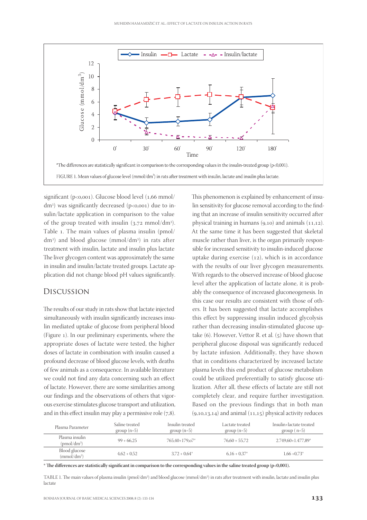

significant ( $p<0.001$ ). Glucose blood level ( $1.66$  mmol/ dm<sup>3</sup>) was significantly decreased (p<0,001) due to insulin/lactate application in comparison to the value of the group treated with insulin  $(3.72 \text{ mmol/dm}^3)$ . Table 1. The main values of plasma insulin (pmol/ dm ) and blood glucose (mmol/dm ) in rats after treatment with insulin, lactate and insulin plus lactate The liver glycogen content was approximately the same in insulin and insulin/lactate treated groups. Lactate application did not change blood pH values significantly.

#### Discussion

The results of our study in rats show that lactate injected simultaneously with insulin significantly increases insulin mediated uptake of glucose from peripheral blood (Figure ). In our preliminary experiments, where the appropriate doses of lactate were tested, the higher doses of lactate in combination with insulin caused a profound decrease of blood glucose levels, with deaths of few animals as a consequence. In available literature we could not find any data concerning such an effect of lactate. However, there are some similarities among our findings and the observations of others that vigorous exercise stimulates glucose transport and utilization, and in this effect insulin may play a permissive role  $(7,8)$ . This phenomenon is explained by enhancement of insulin sensitivity for glucose removal according to the finding that an increase of insulin sensitivity occurred after physical training in humans  $(9,10)$  and animals  $(11,12)$ . At the same time it has been suggested that skeletal muscle rather than liver, is the organ primarily responsible for increased sensitivity to insulin-induced glucose uptake during exercise  $(12)$ , which is in accordance with the results of our liver glycogen measurements. With regards to the observed increase of blood glucose level after the application of lactate alone, it is probably the consequence of increased gluconeogenesis. In this case our results are consistent with those of others. It has been suggested that lactate accomplishes this effect by suppressing insulin induced glycolysis rather than decreasing insulin-stimulated glucose uptake  $(6)$ . However, Vettor R. et al.  $(5)$  have shown that peripheral glucose disposal was significantly reduced by lactate infusion. Additionally, they have shown that in conditions characterized by increased lactate plasma levels this end product of glucose metabolism could be utilized preferentially to satisfy glucose utilization. After all, these effects of lactate are still not completely clear, and require further investigation. Based on the previous findings that in both man  $(9,10,13,14)$  and animal  $(11,15)$  physical activity reduces

| Plasma Parameter                          | Saline treated<br>$group(n=5)$ | Insulin treated<br>$group(n=5)$ | Lactate treated<br>$group(n=5)$ | Insulin+lactate treated<br>$group(n=5)$ |
|-------------------------------------------|--------------------------------|---------------------------------|---------------------------------|-----------------------------------------|
| Plasma insulin<br>(pmol/dm <sup>3</sup> ) | $99 + 66.25$                   | 765,40+179,07*                  | $76.60 + 55.72$                 | 2.749.60+1.477.89*                      |
| Blood glucose<br>(mmol/dm <sup>3</sup> )  | $4.62 + 0.52$                  | $3.72 + 0.64^*$                 | $6.16 + 0.37^*$                 | $1.66 + 0.73*$                          |

\* The differences are statistically significant in comparison to the corresponding values in the saline treated group (p<0,001).

TABLE 1. The main values of plasma insulin (pmol/dm<sup>3</sup>) and blood glucose (mmol/dm<sup>3</sup>) in rats after treatment with insulin, lactate and insulin plus lactate